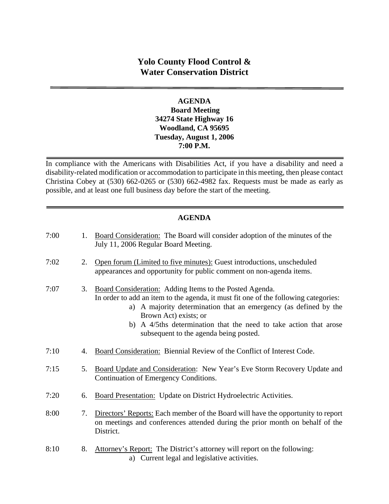# **Yolo County Flood Control & Water Conservation District**

### **AGENDA Board Meeting 34274 State Highway 16 Woodland, CA 95695 Tuesday, August 1, 2006 7:00 P.M.**

In compliance with the Americans with Disabilities Act, if you have a disability and need a disability-related modification or accommodation to participate in this meeting, then please contact Christina Cobey at (530) 662-0265 or (530) 662-4982 fax. Requests must be made as early as possible, and at least one full business day before the start of the meeting.

## **AGENDA**

| 7:00 | 1. | Board Consideration: The Board will consider adoption of the minutes of the<br>July 11, 2006 Regular Board Meeting.                                                                                                                                                                                                                                        |
|------|----|------------------------------------------------------------------------------------------------------------------------------------------------------------------------------------------------------------------------------------------------------------------------------------------------------------------------------------------------------------|
| 7:02 | 2. | Open forum (Limited to five minutes): Guest introductions, unscheduled<br>appearances and opportunity for public comment on non-agenda items.                                                                                                                                                                                                              |
| 7:07 | 3. | Board Consideration: Adding Items to the Posted Agenda.<br>In order to add an item to the agenda, it must fit one of the following categories:<br>a) A majority determination that an emergency (as defined by the<br>Brown Act) exists; or<br>b) A 4/5ths determination that the need to take action that arose<br>subsequent to the agenda being posted. |
| 7:10 | 4. | Board Consideration: Biennial Review of the Conflict of Interest Code.                                                                                                                                                                                                                                                                                     |
| 7:15 | 5. | Board Update and Consideration: New Year's Eve Storm Recovery Update and<br>Continuation of Emergency Conditions.                                                                                                                                                                                                                                          |
| 7:20 | 6. | Board Presentation: Update on District Hydroelectric Activities.                                                                                                                                                                                                                                                                                           |
| 8:00 | 7. | Directors' Reports: Each member of the Board will have the opportunity to report<br>on meetings and conferences attended during the prior month on behalf of the<br>District.                                                                                                                                                                              |
| 8:10 | 8. | Attorney's Report: The District's attorney will report on the following:<br>a) Current legal and legislative activities.                                                                                                                                                                                                                                   |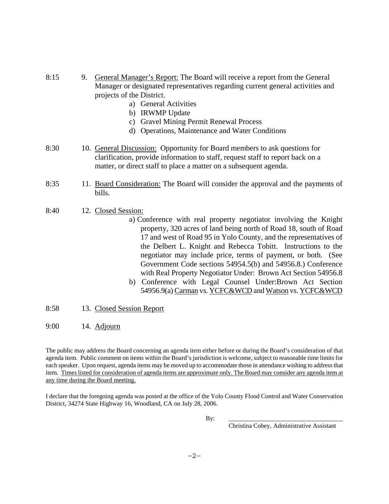- 8:15 9. General Manager's Report: The Board will receive a report from the General Manager or designated representatives regarding current general activities and projects of the District.
	- a) General Activities
	- b) IRWMP Update
	- c) Gravel Mining Permit Renewal Process
	- d) Operations, Maintenance and Water Conditions
- 8:30 10. General Discussion: Opportunity for Board members to ask questions for clarification, provide information to staff, request staff to report back on a matter, or direct staff to place a matter on a subsequent agenda.
- 8:35 11. Board Consideration: The Board will consider the approval and the payments of bills.
- 8:40 12. Closed Session:
	- a) Conference with real property negotiator involving the Knight property, 320 acres of land being north of Road 18, south of Road 17 and west of Road 95 in Yolo County, and the representatives of the Delbert L. Knight and Rebecca Tobitt. Instructions to the negotiator may include price, terms of payment, or both. (See Government Code sections 54954.5(b) and 54956.8.) Conference with Real Property Negotiator Under: Brown Act Section 54956.8
	- b) Conference with Legal Counsel Under:Brown Act Section 54956.9(a) Carman vs. YCFC&WCD and Watson vs. YCFC&WCD
- 8:58 13. Closed Session Report
- 9:00 14. Adjourn

The public may address the Board concerning an agenda item either before or during the Board's consideration of that agenda item. Public comment on items within the Board's jurisdiction is welcome, subject to reasonable time limits for each speaker. Upon request, agenda items may be moved up to accommodate those in attendance wishing to address that item. Times listed for consideration of agenda items are approximate only. The Board may consider any agenda item at any time during the Board meeting.

I declare that the foregoing agenda was posted at the office of the Yolo County Flood Control and Water Conservation District, 34274 State Highway 16, Woodland, CA on July 28, 2006.

By: \_\_\_\_\_\_\_\_\_\_\_\_\_\_\_\_\_\_\_\_\_\_\_\_\_\_\_\_\_\_\_\_\_\_\_\_\_

Christina Cobey, Administrative Assistant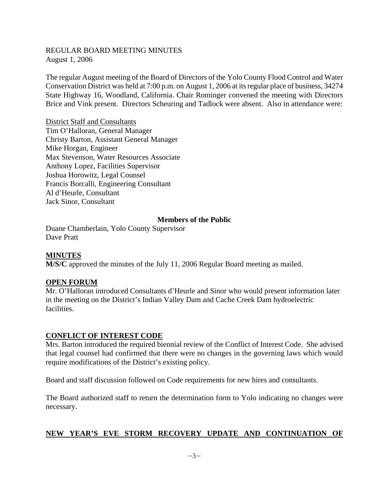## REGULAR BOARD MEETING MINUTES August 1, 2006

The regular August meeting of the Board of Directors of the Yolo County Flood Control and Water Conservation District was held at 7:00 p.m. on August 1, 2006 at its regular place of business, 34274 State Highway 16, Woodland, California. Chair Rominger convened the meeting with Directors Brice and Vink present. Directors Scheuring and Tadlock were absent. Also in attendance were:

District Staff and Consultants Tim O'Halloran, General Manager Christy Barton, Assistant General Manager Mike Horgan, Engineer Max Stevenson, Water Resources Associate Anthony Lopez, Facilities Supervisor Joshua Horowitz, Legal Counsel Francis Borcalli, Engineering Consultant Al d'Heurle, Consultant Jack Sinor, Consultant

### **Members of the Public**

Duane Chamberlain, Yolo County Supervisor Dave Pratt

### **MINUTES**

**M/S/C** approved the minutes of the July 11, 2006 Regular Board meeting as mailed.

#### **OPEN FORUM**

Mr. O'Halloran introduced Consultants d'Heurle and Sinor who would present information later in the meeting on the District's Indian Valley Dam and Cache Creek Dam hydroelectric facilities.

#### **CONFLICT OF INTEREST CODE**

Mrs. Barton introduced the required biennial review of the Conflict of Interest Code. She advised that legal counsel had confirmed that there were no changes in the governing laws which would require modifications of the District's existing policy.

Board and staff discussion followed on Code requirements for new hires and consultants.

The Board authorized staff to return the determination form to Yolo indicating no changes were necessary.

## **NEW YEAR'S EVE STORM RECOVERY UPDATE AND CONTINUATION OF**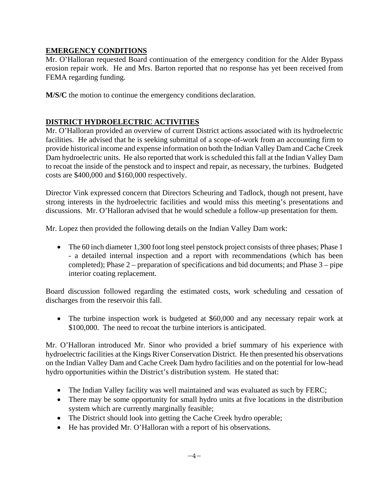## **EMERGENCY CONDITIONS**

Mr. O'Halloran requested Board continuation of the emergency condition for the Alder Bypass erosion repair work. He and Mrs. Barton reported that no response has yet been received from FEMA regarding funding.

**M/S/C** the motion to continue the emergency conditions declaration.

## **DISTRICT HYDROELECTRIC ACTIVITIES**

Mr. O'Halloran provided an overview of current District actions associated with its hydroelectric facilities. He advised that he is seeking submittal of a scope-of-work from an accounting firm to provide historical income and expense information on both the Indian Valley Dam and Cache Creek Dam hydroelectric units. He also reported that work is scheduled this fall at the Indian Valley Dam to recoat the inside of the penstock and to inspect and repair, as necessary, the turbines. Budgeted costs are \$400,000 and \$160,000 respectively.

Director Vink expressed concern that Directors Scheuring and Tadlock, though not present, have strong interests in the hydroelectric facilities and would miss this meeting's presentations and discussions. Mr. O'Halloran advised that he would schedule a follow-up presentation for them.

Mr. Lopez then provided the following details on the Indian Valley Dam work:

• The 60 inch diameter 1,300 foot long steel penstock project consists of three phases; Phase 1 - a detailed internal inspection and a report with recommendations (which has been completed); Phase 2 – preparation of specifications and bid documents; and Phase 3 – pipe interior coating replacement.

Board discussion followed regarding the estimated costs, work scheduling and cessation of discharges from the reservoir this fall.

 The turbine inspection work is budgeted at \$60,000 and any necessary repair work at \$100,000. The need to recoat the turbine interiors is anticipated.

Mr. O'Halloran introduced Mr. Sinor who provided a brief summary of his experience with hydroelectric facilities at the Kings River Conservation District. He then presented his observations on the Indian Valley Dam and Cache Creek Dam hydro facilities and on the potential for low-head hydro opportunities within the District's distribution system. He stated that:

- The Indian Valley facility was well maintained and was evaluated as such by FERC;
- There may be some opportunity for small hydro units at five locations in the distribution system which are currently marginally feasible;
- The District should look into getting the Cache Creek hydro operable;
- He has provided Mr. O'Halloran with a report of his observations.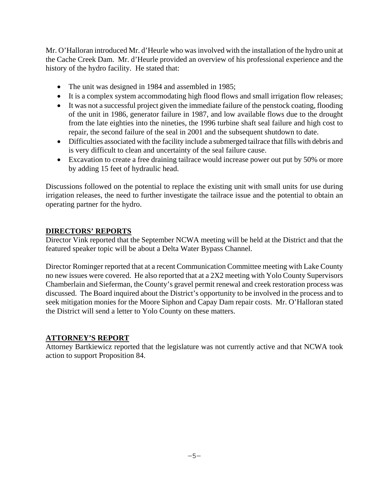Mr. O'Halloran introduced Mr. d'Heurle who was involved with the installation of the hydro unit at the Cache Creek Dam. Mr. d'Heurle provided an overview of his professional experience and the history of the hydro facility. He stated that:

- The unit was designed in 1984 and assembled in 1985;
- It is a complex system accommodating high flood flows and small irrigation flow releases;
- It was not a successful project given the immediate failure of the penstock coating, flooding of the unit in 1986, generator failure in 1987, and low available flows due to the drought from the late eighties into the nineties, the 1996 turbine shaft seal failure and high cost to repair, the second failure of the seal in 2001 and the subsequent shutdown to date.
- Difficulties associated with the facility include a submerged tailrace that fills with debris and is very difficult to clean and uncertainty of the seal failure cause.
- Excavation to create a free draining tailrace would increase power out put by 50% or more by adding 15 feet of hydraulic head.

Discussions followed on the potential to replace the existing unit with small units for use during irrigation releases, the need to further investigate the tailrace issue and the potential to obtain an operating partner for the hydro.

## **DIRECTORS' REPORTS**

Director Vink reported that the September NCWA meeting will be held at the District and that the featured speaker topic will be about a Delta Water Bypass Channel.

Director Rominger reported that at a recent Communication Committee meeting with Lake County no new issues were covered. He also reported that at a 2X2 meeting with Yolo County Supervisors Chamberlain and Sieferman, the County's gravel permit renewal and creek restoration process was discussed. The Board inquired about the District's opportunity to be involved in the process and to seek mitigation monies for the Moore Siphon and Capay Dam repair costs. Mr. O'Halloran stated the District will send a letter to Yolo County on these matters.

## **ATTORNEY'S REPORT**

Attorney Bartkiewicz reported that the legislature was not currently active and that NCWA took action to support Proposition 84.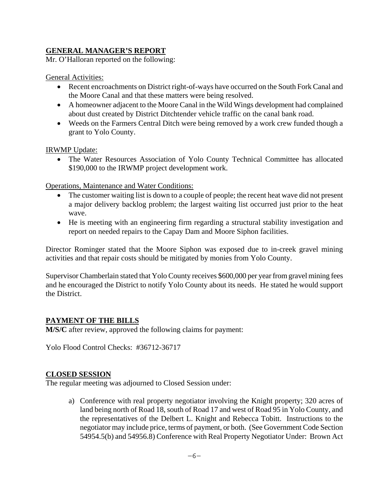## **GENERAL MANAGER'S REPORT**

Mr. O'Halloran reported on the following:

General Activities:

- Recent encroachments on District right-of-ways have occurred on the South Fork Canal and the Moore Canal and that these matters were being resolved.
- A homeowner adjacent to the Moore Canal in the Wild Wings development had complained about dust created by District Ditchtender vehicle traffic on the canal bank road.
- Weeds on the Farmers Central Ditch were being removed by a work crew funded though a grant to Yolo County.

### IRWMP Update:

 The Water Resources Association of Yolo County Technical Committee has allocated \$190,000 to the IRWMP project development work.

## Operations, Maintenance and Water Conditions:

- The customer waiting list is down to a couple of people; the recent heat wave did not present a major delivery backlog problem; the largest waiting list occurred just prior to the heat wave.
- He is meeting with an engineering firm regarding a structural stability investigation and report on needed repairs to the Capay Dam and Moore Siphon facilities.

Director Rominger stated that the Moore Siphon was exposed due to in-creek gravel mining activities and that repair costs should be mitigated by monies from Yolo County.

Supervisor Chamberlain stated that Yolo County receives \$600,000 per year from gravel mining fees and he encouraged the District to notify Yolo County about its needs. He stated he would support the District.

## **PAYMENT OF THE BILLS**

**M/S/C** after review, approved the following claims for payment:

Yolo Flood Control Checks: #36712-36717

## **CLOSED SESSION**

The regular meeting was adjourned to Closed Session under:

a) Conference with real property negotiator involving the Knight property; 320 acres of land being north of Road 18, south of Road 17 and west of Road 95 in Yolo County, and the representatives of the Delbert L. Knight and Rebecca Tobitt. Instructions to the negotiator may include price, terms of payment, or both. (See Government Code Section 54954.5(b) and 54956.8) Conference with Real Property Negotiator Under: Brown Act